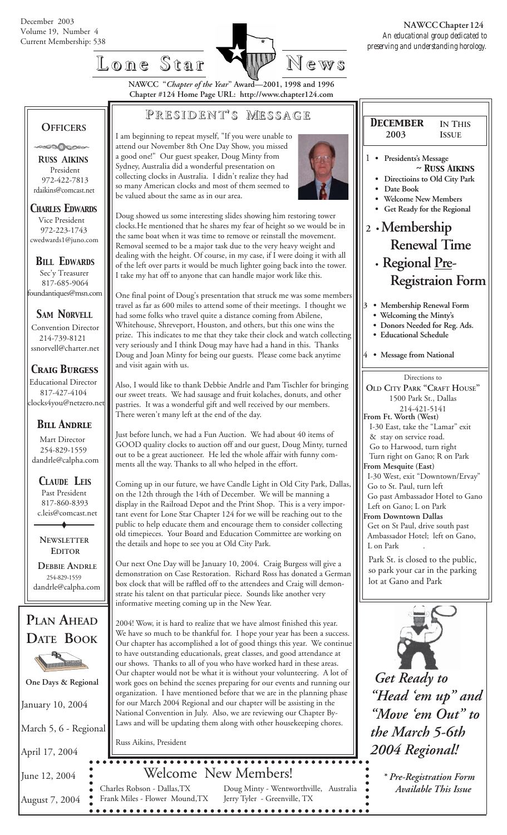

## **Lone Star Lone Star News**

**NAWCC "***Chapter of the Year***" Award—2001, 1998 and 1996 Chapter #124 Home Page URL: http://www.chapter124.com**

#### **P RESIDENT RESIDENT' S M ESSAGE**

 **OFFICERS** .000000

 **R***USS* **A***IKINS* President 972-422-7813 rdaikins@comcast.net

*CHARLES EDWARDS* Vice President 972-223-1743 cwedwards1@juno.com

*BILL EDWARDS* Sec'y Treasurer 817-685-9064 foundantiques@msn.com

*SAM NORVELL*

Convention Director 214-739-8121 ssnorvell@charter.net

#### *Craig Burgess*

 Educational Director 817-427-4104 clocks4you@netzero.net

#### *Bill Andrle*

 Mart Director 254-829-1559 dandrle@calpha.com

 *CLAUDE LEIS* Past President 817-860-8393 c.leis@comcast.net

 **NEWSLETTER EDITOR**

 **DEBBIE ANDRLE** 254-829-1559 dandrle@calpha.com



January 10, 2004

March 5, 6 - Regional

April 17, 2004

June 12, 2004

 August 7, 2004 Frank Miles - Flower Mound,TX

I am beginning to repeat myself, "If you were unable to attend our November 8th One Day Show, you missed a good one!" Our guest speaker, Doug Minty from Sydney, Australia did a wonderful presentation on collecting clocks in Australia. I didn't realize they had so many American clocks and most of them seemed to be valued about the same as in our area.



Doug showed us some interesting slides showing him restoring tower clocks.He mentioned that he shares my fear of height so we would be in the same boat when it was time to remove or reinstall the movement. Removal seemed to be a major task due to the very heavy weight and dealing with the height. Of course, in my case, if I were doing it with all of the left over parts it would be much lighter going back into the tower. I take my hat off to anyone that can handle major work like this.

One final point of Doug's presentation that struck me was some members travel as far as 600 miles to attend some of their meetings. I thought we had some folks who travel quite a distance coming from Abilene, Whitehouse, Shreveport, Houston, and others, but this one wins the prize. This indicates to me that they take their clock and watch collecting very seriously and I think Doug may have had a hand in this. Thanks Doug and Joan Minty for being our guests. Please come back anytime and visit again with us.

Also, I would like to thank Debbie Andrle and Pam Tischler for bringing our sweet treats. We had sausage and fruit kolaches, donuts, and other pastries. It was a wonderful gift and well received by our members. There weren't many left at the end of the day.

Just before lunch, we had a Fun Auction. We had about 40 items of GOOD quality clocks to auction off and our guest, Doug Minty, turned out to be a great auctioneer. He led the whole affair with funny comments all the way. Thanks to all who helped in the effort.

Coming up in our future, we have Candle Light in Old City Park, Dallas, on the 12th through the 14th of December. We will be manning a display in the Railroad Depot and the Print Shop. This is a very important event for Lone Star Chapter 124 for we will be reaching out to the public to help educate them and encourage them to consider collecting old timepieces. Your Board and Education Committee are working on the details and hope to see you at Old City Park.

Our next One Day will be January 10, 2004. Craig Burgess will give a demonstration on Case Restoration. Richard Ross has donated a German box clock that will be raffled off to the attendees and Craig will demonstrate his talent on that particular piece. Sounds like another very informative meeting coming up in the New Year.

2004! Wow, it is hard to realize that we have almost finished this year. We have so much to be thankful for. I hope your year has been a success. Our chapter has accomplished a lot of good things this year. We continue to have outstanding educationals, great classes, and good attendance at our shows. Thanks to all of you who have worked hard in these areas. Our chapter would not be what it is without your volunteering. A lot of **o** One Days & Regional  $\Box$  Wur chapter would not be what it is without your volunteering. A lot or  $\Box$  Get Ready to organization. I have mentioned before that we are in the planning phase for our March 2004 Regional and our chapter will be assisting in the National Convention in July. Also, we are reviewing our Chapter By-Laws and will be updating them along with other housekeeping chores.

Russ Aikins, President

# Welcome New Members!

• Charles Robson - Dallas, TX Doug Minty - Wentworthville, Australia *Available This Issue* Jerry Tyler - Greenville, TX 



- **Welcoming the Minty's**
- **Donors Needed for Reg. Ads.**
- **Educational Schedule**
- **4 Message from National**

Directions to **OLD CITY PARK "CRAFT HOUSE"** 1500 Park St., Dallas 214-421-5141 **From Ft. Worth (West)** I-30 East, take the "Lamar" exit & stay on service road. Go to Harwood, turn right Turn right on Gano; R on Park **From Mesquite (East)** I-30 West, exit "Downtown/Ervay" Go to St. Paul, turn left Go past Ambassador Hotel to Gano Left on Gano; L on Park **From Downtown Dallas** Get on St Paul, drive south past Ambassador Hotel; left on Gano, L on Park Park St. is closed to the public,

so park your car in the parking lot at Gano and Park



*"Head 'em up" and "Move 'em Out" to the March 5-6th 2004 Regional!*

 *\* Pre-Registration Form*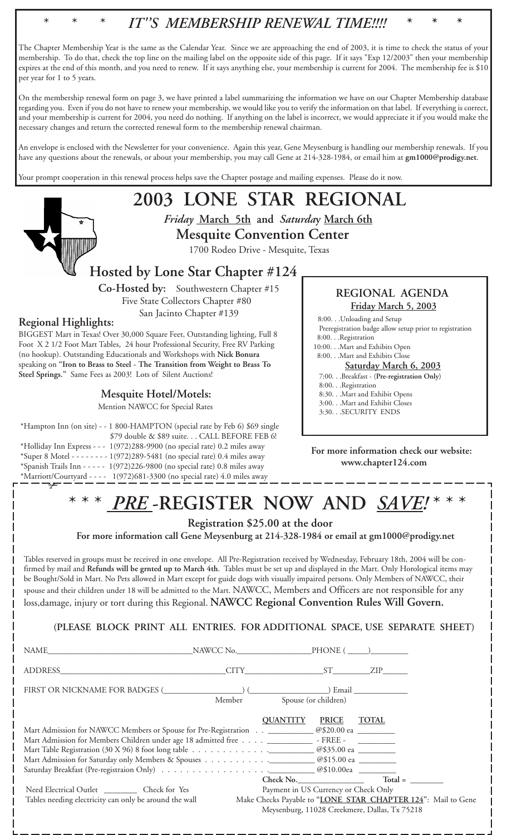

 **Co-Hosted by:** Southwestern Chapter #15 Five State Collectors Chapter #80 San Jacinto Chapter #139

#### **Regional Highlights:**

BIGGEST Mart in Texas! Over 30,000 Square Feet, Outstanding lighting, Full 8 Foot X 2 1/2 Foot Mart Tables, 24 hour Professional Security, Free RV Parking (no hookup). Outstanding Educationals and Workshops with **Nick Bonura** speaking on **"Iron to Brass to Steel - The Transition from Weight to Brass To Steel Springs."** Same Fees as 2003! Lots of Silent Auctions!

#### **Mesquite Hotel/Motels:**

Mention NAWCC for Special Rates

\*Hampton Inn (on site) - - 1 800-HAMPTON (special rate by Feb 6) \$69 single \$79 double & \$89 suite. . . CALL BEFORE FEB 6! \*Holliday Inn Express - - - 1(972)288-9900 (no special rate) 0.2 miles away \*Super 8 Motel - - - - - - - - 1(972)289-5481 (no special rate) 0.4 miles away \*Spanish Trails Inn - - - - - 1(972)226-9800 (no special rate) 0.8 miles away \*Marriott/Courtyard - - - - 1(972)681-3300 (no special rate) 4.0 miles away ✃

#### **REGIONAL AGENDA Friday March 5, 2003**

8:00. . .Unloading and Setup

- Preregistration badge allow setup prior to registration
- 8:00. . .Registration 10:00. . .Mart and Exhibits Open
- 8:00. . .Mart and Exhibits Close

#### **Saturday March 6, 2003**

- 7:00. . .Breakfast (**Pre-registration Only**)
- 8:00. . .Registration
- 8:30. . .Mart and Exhibit Opens
- 3:00. . .Mart and Exhibit Closes
- 3:30. . .SECURITY ENDS

**For more information check our website: www.chapter124.com**

## \* \* \* *PRE* **-REGISTER NOW AND** *SAVE!* \* \* \*

 **Registration \$25.00 at the door**

 **For more information call Gene Meysenburg at 214-328-1984 or email at gm1000@prodigy.net**

Tables reserved in groups must be received in one envelope. All Pre-Registration received by Wednesday, February 18th, 2004 will be confirmed by mail and **Refunds will be grnted up to March 4th**. Tables must be set up and displayed in the Mart. Only Horological items may be Bought/Sold in Mart. No Pets allowed in Mart except for guide dogs with visually impaired persons. Only Members of NAWCC, their spouse and their children under 18 will be admitted to the Mart. NAWCC, Members and Officers are not responsible for any

loss,damage, injury or tort during this Regional. **NAWCC Regional Convention Rules Will Govern.**

**(PLEASE BLOCK PRINT ALL ENTRIES. FOR ADDITIONAL SPACE, USE SEPARATE SHEET)**

| ADDRESS                                                                                                                                                                                                     | CITY ST ZIP     |                                                   |                                                                                                                            |
|-------------------------------------------------------------------------------------------------------------------------------------------------------------------------------------------------------------|-----------------|---------------------------------------------------|----------------------------------------------------------------------------------------------------------------------------|
|                                                                                                                                                                                                             | Member          | Spouse (or children)                              |                                                                                                                            |
| Mart Admission for NAWCC Members or Spouse for Pre-Registration _____________@\$20.00 ea _________<br>Mart Admission for Members Children under age 18 admitted free ________________ - FREE - ____________ | <b>OUANTITY</b> | <b>PRICE</b>                                      | <b>TOTAL</b>                                                                                                               |
| Need Electrical Outlet ___________ Check for Yes<br>Tables needing electricity can only be around the wall                                                                                                  |                 | Check No.<br>Payment in US Currency or Check Only | $Total =$<br>Make Checks Payable to "LONE STAR CHAPTER 124": Mail to Gene<br>Meysenburg, 11028 Creekmere, Dallas, Tx 75218 |

 $-$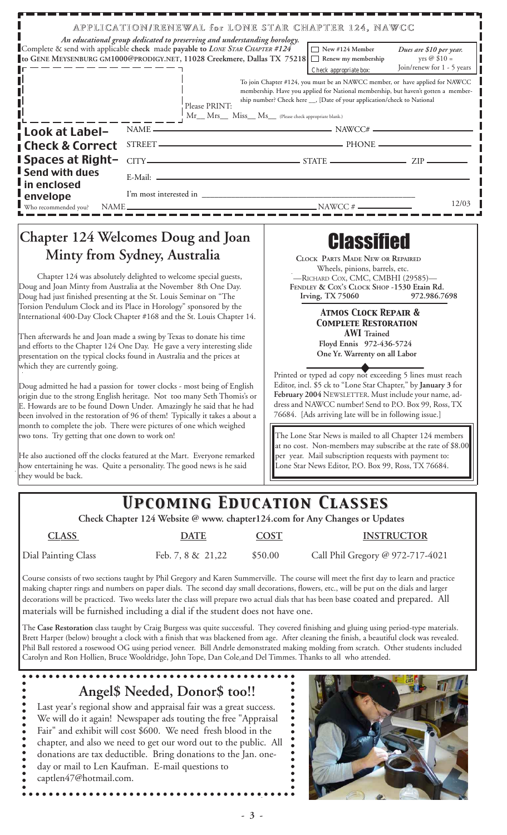|                                                                                                                                                                                       | Complete & send with applicable check made payable to LONE STAR CHAPTER #124<br>to GENE MEYSENBURG GM1000@PRODIGY.NET, 11028 Creekmere, Dallas TX 75218 □ Renew my membership                                                                                                                                                                                                                                                                                                                           |               | New #124 Member<br>Check appropriate box:                                                                                                                                                                                                     | Dues are \$10 per year.<br>yrs $@$ \$10 =<br>Join/renew for 1 - 5 years |  |  |
|---------------------------------------------------------------------------------------------------------------------------------------------------------------------------------------|---------------------------------------------------------------------------------------------------------------------------------------------------------------------------------------------------------------------------------------------------------------------------------------------------------------------------------------------------------------------------------------------------------------------------------------------------------------------------------------------------------|---------------|-----------------------------------------------------------------------------------------------------------------------------------------------------------------------------------------------------------------------------------------------|-------------------------------------------------------------------------|--|--|
|                                                                                                                                                                                       | Please PRINT:                                                                                                                                                                                                                                                                                                                                                                                                                                                                                           |               | To join Chapter #124, you must be an NAWCC member, or have applied for NAWCC<br>membership. Have you applied for National membership, but haven't gotten a member-<br>ship number? Check here __, [Date of your application/check to National |                                                                         |  |  |
|                                                                                                                                                                                       | Mr__ Mrs__ Miss__ Ms__ (Please check appropriate blank.)                                                                                                                                                                                                                                                                                                                                                                                                                                                |               |                                                                                                                                                                                                                                               |                                                                         |  |  |
| Look at Label-                                                                                                                                                                        |                                                                                                                                                                                                                                                                                                                                                                                                                                                                                                         | NAME — NAMCC# |                                                                                                                                                                                                                                               |                                                                         |  |  |
| <b>Check &amp; Correct</b><br><b>Spaces at Right-</b>                                                                                                                                 |                                                                                                                                                                                                                                                                                                                                                                                                                                                                                                         | $CITY$ $ZIP$  |                                                                                                                                                                                                                                               |                                                                         |  |  |
| <b>Send with dues</b>                                                                                                                                                                 |                                                                                                                                                                                                                                                                                                                                                                                                                                                                                                         |               |                                                                                                                                                                                                                                               |                                                                         |  |  |
| in enclosed                                                                                                                                                                           | E-Mail: 2008. [2016] [2016] [2016] [2016] [2016] [2016] [2016] [2016] [2016] [2016] [2016] [2016] [2016] [2016] [2016] [2016] [2016] [2016] [2016] [2016] [2016] [2016] [2016] [2016] [2016] [2016] [2016] [2016] [2016] [2016                                                                                                                                                                                                                                                                          |               |                                                                                                                                                                                                                                               |                                                                         |  |  |
| envelope                                                                                                                                                                              |                                                                                                                                                                                                                                                                                                                                                                                                                                                                                                         |               |                                                                                                                                                                                                                                               | 12/03                                                                   |  |  |
| Who recommended you?                                                                                                                                                                  |                                                                                                                                                                                                                                                                                                                                                                                                                                                                                                         |               |                                                                                                                                                                                                                                               |                                                                         |  |  |
|                                                                                                                                                                                       |                                                                                                                                                                                                                                                                                                                                                                                                                                                                                                         |               |                                                                                                                                                                                                                                               |                                                                         |  |  |
|                                                                                                                                                                                       | <b>Chapter 124 Welcomes Doug and Joan</b>                                                                                                                                                                                                                                                                                                                                                                                                                                                               |               | <b>Classified</b>                                                                                                                                                                                                                             |                                                                         |  |  |
| Minty from Sydney, Australia                                                                                                                                                          |                                                                                                                                                                                                                                                                                                                                                                                                                                                                                                         |               | <b>CLOCK PARTS MADE NEW OR REPAIRED</b>                                                                                                                                                                                                       |                                                                         |  |  |
| Chapter 124 was absolutely delighted to welcome special guests,                                                                                                                       |                                                                                                                                                                                                                                                                                                                                                                                                                                                                                                         |               | Wheels, pinions, barrels, etc.<br>-RICHARD COX, CMC, CMBHI (29585)-                                                                                                                                                                           |                                                                         |  |  |
| Doug and Joan Minty from Australia at the November 8th One Day.                                                                                                                       |                                                                                                                                                                                                                                                                                                                                                                                                                                                                                                         |               | FENDLEY & COX's CLOCK SHOP -1530 Etain Rd.                                                                                                                                                                                                    |                                                                         |  |  |
|                                                                                                                                                                                       | Doug had just finished presenting at the St. Louis Seminar on "The<br>Torsion Pendulum Clock and its Place in Horology" sponsored by the                                                                                                                                                                                                                                                                                                                                                                |               | Irving, TX 75060<br>972.986.7698                                                                                                                                                                                                              |                                                                         |  |  |
| International 400-Day Clock Chapter #168 and the St. Louis Chapter 14.                                                                                                                |                                                                                                                                                                                                                                                                                                                                                                                                                                                                                                         |               | <b>ATMOS CLOCK REPAIR &amp;</b><br><b>COMPLETE RESTORATION</b>                                                                                                                                                                                |                                                                         |  |  |
|                                                                                                                                                                                       | Then afterwards he and Joan made a swing by Texas to donate his time                                                                                                                                                                                                                                                                                                                                                                                                                                    |               | <b>AWI</b> Trained<br>Floyd Ennis 972-436-5724                                                                                                                                                                                                |                                                                         |  |  |
|                                                                                                                                                                                       | and efforts to the Chapter 124 One Day. He gave a very interesting slide                                                                                                                                                                                                                                                                                                                                                                                                                                |               |                                                                                                                                                                                                                                               |                                                                         |  |  |
| presentation on the typical clocks found in Australia and the prices at<br>which they are currently going.<br>Doug admitted he had a passion for tower clocks - most being of English |                                                                                                                                                                                                                                                                                                                                                                                                                                                                                                         |               | One Yr. Warrenty on all Labor                                                                                                                                                                                                                 |                                                                         |  |  |
|                                                                                                                                                                                       |                                                                                                                                                                                                                                                                                                                                                                                                                                                                                                         |               | Printed or typed ad copy not exceeding 5 lines must reach<br>Editor, incl. \$5 ck to "Lone Star Chapter," by January 3 for<br>February 2004 NEWSLETTER. Must include your name, ad-                                                           |                                                                         |  |  |
|                                                                                                                                                                                       |                                                                                                                                                                                                                                                                                                                                                                                                                                                                                                         |               |                                                                                                                                                                                                                                               |                                                                         |  |  |
|                                                                                                                                                                                       | 76684. [Ads arriving late will be in following issue.]                                                                                                                                                                                                                                                                                                                                                                                                                                                  |               |                                                                                                                                                                                                                                               |                                                                         |  |  |
| two tons. Try getting that one down to work on!                                                                                                                                       |                                                                                                                                                                                                                                                                                                                                                                                                                                                                                                         |               | The Lone Star News is mailed to all Chapter 124 members                                                                                                                                                                                       |                                                                         |  |  |
|                                                                                                                                                                                       |                                                                                                                                                                                                                                                                                                                                                                                                                                                                                                         |               | at no cost. Non-members may subscribe at the rate of \$8.00                                                                                                                                                                                   |                                                                         |  |  |
| He also auctioned off the clocks featured at the Mart. Everyone remarked<br>how entertaining he was. Quite a personality. The good news is he said                                    |                                                                                                                                                                                                                                                                                                                                                                                                                                                                                                         |               | per year. Mail subscription requests with payment to:<br>Lone Star News Editor, P.O. Box 99, Ross, TX 76684.                                                                                                                                  |                                                                         |  |  |
| they would be back.                                                                                                                                                                   |                                                                                                                                                                                                                                                                                                                                                                                                                                                                                                         |               |                                                                                                                                                                                                                                               |                                                                         |  |  |
|                                                                                                                                                                                       |                                                                                                                                                                                                                                                                                                                                                                                                                                                                                                         |               |                                                                                                                                                                                                                                               |                                                                         |  |  |
|                                                                                                                                                                                       | <b>UPCOMING EDUCATION CLASSES</b>                                                                                                                                                                                                                                                                                                                                                                                                                                                                       |               |                                                                                                                                                                                                                                               |                                                                         |  |  |
|                                                                                                                                                                                       | Check Chapter 124 Website @ www. chapter124.com for Any Changes or Updates                                                                                                                                                                                                                                                                                                                                                                                                                              |               |                                                                                                                                                                                                                                               |                                                                         |  |  |
| <b>CLASS</b>                                                                                                                                                                          | <b>DATE</b>                                                                                                                                                                                                                                                                                                                                                                                                                                                                                             | <b>COST</b>   |                                                                                                                                                                                                                                               | <b>INSTRUCTOR</b>                                                       |  |  |
| Dial Painting Class                                                                                                                                                                   | Feb. 7, 8 & 21,22                                                                                                                                                                                                                                                                                                                                                                                                                                                                                       | \$50.00       | Call Phil Gregory @ 972-717-4021                                                                                                                                                                                                              |                                                                         |  |  |
|                                                                                                                                                                                       | Course consists of two sections taught by Phil Gregory and Karen Summerville. The course will meet the first day to learn and practice<br>making chapter rings and numbers on paper dials. The second day small decorations, flowers, etc., will be put on the dials and larger<br>decorations will be practiced. Two weeks later the class will prepare two actual dials that has been base coated and prepared. All<br>materials will be furnished including a dial if the student does not have one. |               |                                                                                                                                                                                                                                               |                                                                         |  |  |
|                                                                                                                                                                                       | The Case Restoration class taught by Craig Burgess was quite successful. They covered finishing and gluing using period-type materials.<br>Brett Harper (below) brought a clock with a finish that was blackened from age. After cleaning the finish, a beautiful clock was revealed.<br>Phil Ball restored a rosewood OG using period veneer. Bill Andrle demonstrated making molding from scratch. Other students included                                                                            |               |                                                                                                                                                                                                                                               |                                                                         |  |  |

Last year's regional show and appraisal fair was a great success. We will do it again! Newspaper ads touting the free "Appraisal Fair" and exhibit will cost \$600. We need fresh blood in the chapter, and also we need to get our word out to the public. All donations are tax deductible. Bring donations to the Jan. oneday or mail to Len Kaufman. E-mail questions to captlen47@hotmail.com.

. . . . . . . . . . . . .



. . . . . . . . . . . . .